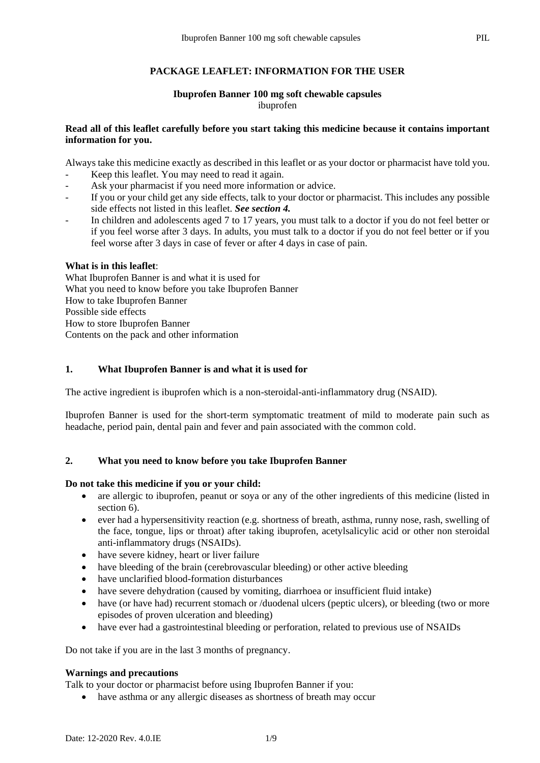## **PACKAGE LEAFLET: INFORMATION FOR THE USER**

#### **Ibuprofen Banner 100 mg soft chewable capsules** ibuprofen

## **Read all of this leaflet carefully before you start taking this medicine because it contains important information for you.**

Always take this medicine exactly as described in this leaflet or as your doctor or pharmacist have told you.

- Keep this leaflet. You may need to read it again.
- Ask your pharmacist if you need more information or advice.
- If you or your child get any side effects, talk to your doctor or pharmacist. This includes any possible side effects not listed in this leaflet. *See section 4.*
- In children and adolescents aged 7 to 17 years, you must talk to a doctor if you do not feel better or if you feel worse after 3 days. In adults, you must talk to a doctor if you do not feel better or if you feel worse after 3 days in case of fever or after 4 days in case of pain.

## **What is in this leaflet**:

What Ibuprofen Banner is and what it is used for What you need to know before you take Ibuprofen Banner How to take Ibuprofen Banner Possible side effects How to store Ibuprofen Banner Contents on the pack and other information

## **1. What Ibuprofen Banner is and what it is used for**

The active ingredient is ibuprofen which is a non-steroidal-anti-inflammatory drug (NSAID).

Ibuprofen Banner is used for the short-term symptomatic treatment of mild to moderate pain such as headache, period pain, dental pain and fever and pain associated with the common cold.

## **2. What you need to know before you take Ibuprofen Banner**

## **Do not take this medicine if you or your child:**

- are allergic to ibuprofen, peanut or soya or any of the other ingredients of this medicine (listed in section 6).
- ever had a hypersensitivity reaction (e.g. shortness of breath, asthma, runny nose, rash, swelling of the face, tongue, lips or throat) after taking ibuprofen, acetylsalicylic acid or other non steroidal anti-inflammatory drugs (NSAIDs).
- have severe kidney, heart or liver failure
- have bleeding of the brain (cerebrovascular bleeding) or other active bleeding
- have unclarified blood-formation disturbances
- have severe dehydration (caused by vomiting, diarrhoea or insufficient fluid intake)
- have (or have had) recurrent stomach or /duodenal ulcers (peptic ulcers), or bleeding (two or more episodes of proven ulceration and bleeding)
- have ever had a gastrointestinal bleeding or perforation, related to previous use of NSAIDs

Do not take if you are in the last 3 months of pregnancy.

## **Warnings and precautions**

Talk to your doctor or pharmacist before using Ibuprofen Banner if you:

• have asthma or any allergic diseases as shortness of breath may occur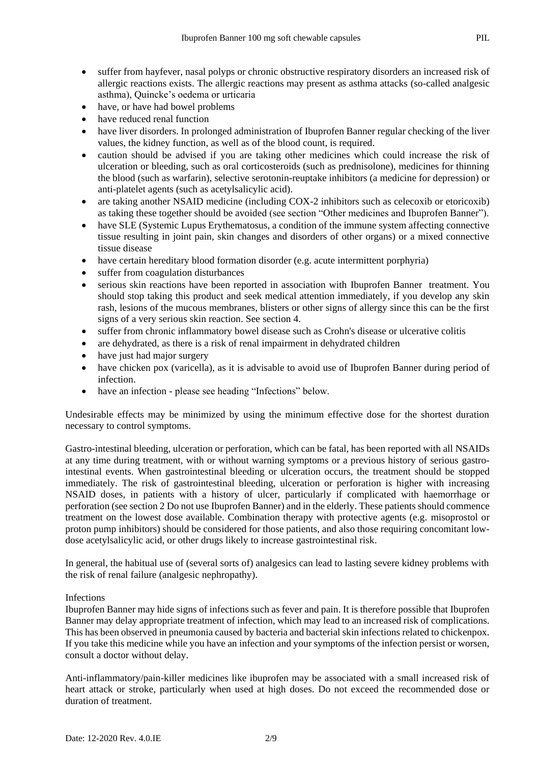- suffer from hayfever, nasal polyps or chronic obstructive respiratory disorders an increased risk of allergic reactions exists. The allergic reactions may present as asthma attacks (so-called analgesic asthma), Quincke's oedema or urticaria
- have, or have had bowel problems
- have reduced renal function
- have liver disorders. In prolonged administration of Ibuprofen Banner regular checking of the liver values, the kidney function, as well as of the blood count, is required.
- caution should be advised if you are taking other medicines which could increase the risk of ulceration or bleeding, such as oral corticosteroids (such as prednisolone), medicines for thinning the blood (such as warfarin), selective serotonin-reuptake inhibitors (a medicine for depression) or anti-platelet agents (such as acetylsalicylic acid).
- are taking another NSAID medicine (including COX-2 inhibitors such as celecoxib or etoricoxib) as taking these together should be avoided (see section "Other medicines and Ibuprofen Banner").
- have SLE (Systemic Lupus Erythematosus, a condition of the immune system affecting connective tissue resulting in joint pain, skin changes and disorders of other organs) or a mixed connective tissue disease
- have certain hereditary blood formation disorder (e.g. acute intermittent porphyria)
- suffer from coagulation disturbances
- serious skin reactions have been reported in association with Ibuprofen Banner treatment. You should stop taking this product and seek medical attention immediately, if you develop any skin rash, lesions of the mucous membranes, blisters or other signs of allergy since this can be the first signs of a very serious skin reaction. See section 4.
- suffer from chronic inflammatory bowel disease such as Crohn's disease or ulcerative colitis
- are dehydrated, as there is a risk of renal impairment in dehydrated children
- have just had major surgery
- have chicken pox (varicella), as it is advisable to avoid use of Ibuprofen Banner during period of infection.
- have an infection please see heading "Infections" below.

Undesirable effects may be minimized by using the minimum effective dose for the shortest duration necessary to control symptoms.

Gastro-intestinal bleeding, ulceration or perforation, which can be fatal, has been reported with all NSAIDs at any time during treatment, with or without warning symptoms or a previous history of serious gastrointestinal events. When gastrointestinal bleeding or ulceration occurs, the treatment should be stopped immediately. The risk of gastrointestinal bleeding, ulceration or perforation is higher with increasing NSAID doses, in patients with a history of ulcer, particularly if complicated with haemorrhage or perforation (see section 2 Do not use Ibuprofen Banner) and in the elderly. These patients should commence treatment on the lowest dose available. Combination therapy with protective agents (e.g. misoprostol or proton pump inhibitors) should be considered for those patients, and also those requiring concomitant lowdose acetylsalicylic acid, or other drugs likely to increase gastrointestinal risk.

In general, the habitual use of (several sorts of) analgesics can lead to lasting severe kidney problems with the risk of renal failure (analgesic nephropathy).

## Infections

Ibuprofen Banner may hide signs of infections such as fever and pain. It is therefore possible that Ibuprofen Banner may delay appropriate treatment of infection, which may lead to an increased risk of complications. This has been observed in pneumonia caused by bacteria and bacterial skin infections related to chickenpox. If you take this medicine while you have an infection and your symptoms of the infection persist or worsen, consult a doctor without delay.

Anti-inflammatory/pain-killer medicines like ibuprofen may be associated with a small increased risk of heart attack or stroke, particularly when used at high doses. Do not exceed the recommended dose or duration of treatment.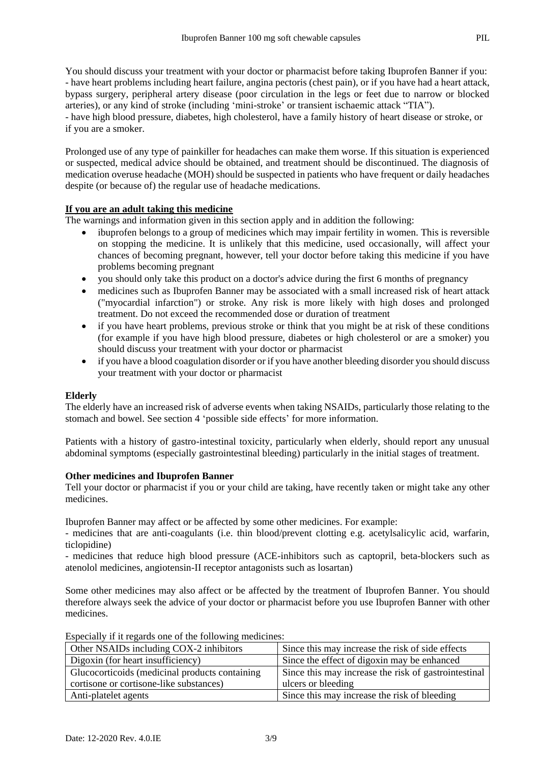You should discuss your treatment with your doctor or pharmacist before taking Ibuprofen Banner if you: - have heart problems including heart failure, angina pectoris (chest pain), or if you have had a heart attack, bypass surgery, peripheral artery disease (poor circulation in the legs or feet due to narrow or blocked arteries), or any kind of stroke (including 'mini-stroke' or transient ischaemic attack "TIA"). - have high blood pressure, diabetes, high cholesterol, have a family history of heart disease or stroke, or if you are a smoker.

Prolonged use of any type of painkiller for headaches can make them worse. If this situation is experienced or suspected, medical advice should be obtained, and treatment should be discontinued. The diagnosis of medication overuse headache (MOH) should be suspected in patients who have frequent or daily headaches despite (or because of) the regular use of headache medications.

## **If you are an adult taking this medicine**

The warnings and information given in this section apply and in addition the following:

- ibuprofen belongs to a group of medicines which may impair fertility in women. This is reversible on stopping the medicine. It is unlikely that this medicine, used occasionally, will affect your chances of becoming pregnant, however, tell your doctor before taking this medicine if you have problems becoming pregnant
- you should only take this product on a doctor's advice during the first 6 months of pregnancy
- medicines such as Ibuprofen Banner may be associated with a small increased risk of heart attack ("myocardial infarction") or stroke. Any risk is more likely with high doses and prolonged treatment. Do not exceed the recommended dose or duration of treatment
- if you have heart problems, previous stroke or think that you might be at risk of these conditions (for example if you have high blood pressure, diabetes or high cholesterol or are a smoker) you should discuss your treatment with your doctor or pharmacist
- if you have a blood coagulation disorder or if you have another bleeding disorder you should discuss your treatment with your doctor or pharmacist

## **Elderly**

The elderly have an increased risk of adverse events when taking NSAIDs, particularly those relating to the stomach and bowel. See section 4 'possible side effects' for more information.

Patients with a history of gastro-intestinal toxicity, particularly when elderly, should report any unusual abdominal symptoms (especially gastrointestinal bleeding) particularly in the initial stages of treatment.

## **Other medicines and Ibuprofen Banner**

Tell your doctor or pharmacist if you or your child are taking, have recently taken or might take any other medicines.

Ibuprofen Banner may affect or be affected by some other medicines. For example:

- medicines that are anti-coagulants (i.e. thin blood/prevent clotting e.g. acetylsalicylic acid, warfarin, ticlopidine)

- medicines that reduce high blood pressure (ACE-inhibitors such as captopril, beta-blockers such as atenolol medicines, angiotensin-II receptor antagonists such as losartan)

Some other medicines may also affect or be affected by the treatment of Ibuprofen Banner. You should therefore always seek the advice of your doctor or pharmacist before you use Ibuprofen Banner with other medicines.

| Other NSAIDs including COX-2 inhibitors        | Since this may increase the risk of side effects     |
|------------------------------------------------|------------------------------------------------------|
| Digoxin (for heart insufficiency)              | Since the effect of digoxin may be enhanced          |
| Glucocorticoids (medicinal products containing | Since this may increase the risk of gastrointestinal |
| cortisone or cortisone-like substances)        | ulcers or bleeding                                   |
| Anti-platelet agents                           | Since this may increase the risk of bleeding         |

Especially if it regards one of the following medicines: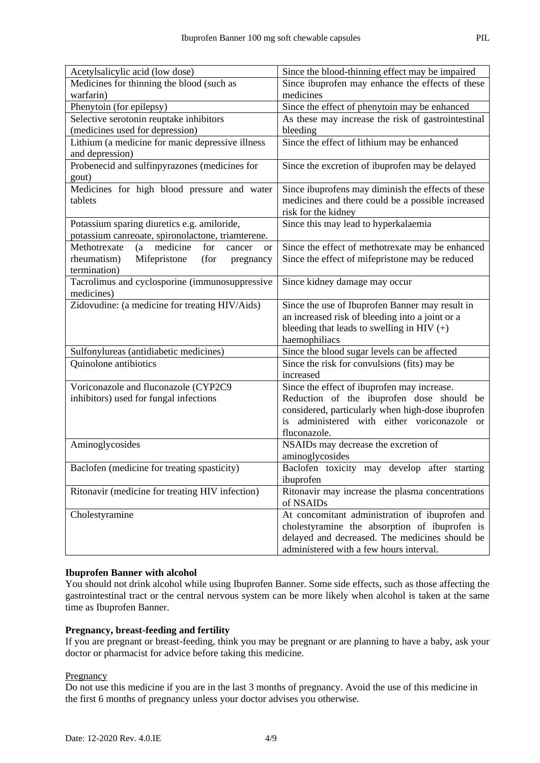| Acetylsalicylic acid (low dose)                                  | Since the blood-thinning effect may be impaired                                                    |  |
|------------------------------------------------------------------|----------------------------------------------------------------------------------------------------|--|
| Medicines for thinning the blood (such as                        | Since ibuprofen may enhance the effects of these                                                   |  |
| warfarin)                                                        | medicines                                                                                          |  |
| Phenytoin (for epilepsy)                                         | Since the effect of phenytoin may be enhanced                                                      |  |
| Selective serotonin reuptake inhibitors                          | As these may increase the risk of gastrointestinal                                                 |  |
| (medicines used for depression)                                  | bleeding                                                                                           |  |
| Lithium (a medicine for manic depressive illness                 | Since the effect of lithium may be enhanced                                                        |  |
| and depression)                                                  |                                                                                                    |  |
| Probenecid and sulfinpyrazones (medicines for                    | Since the excretion of ibuprofen may be delayed                                                    |  |
| gout)                                                            |                                                                                                    |  |
| Medicines for high blood pressure and water                      | Since ibuprofens may diminish the effects of these                                                 |  |
| tablets                                                          | medicines and there could be a possible increased                                                  |  |
|                                                                  | risk for the kidney                                                                                |  |
| Potassium sparing diuretics e.g. amiloride,                      | Since this may lead to hyperkalaemia                                                               |  |
| potassium canreoate, spironolactone, triamterene.                |                                                                                                    |  |
| medicine<br>for<br>Methotrexate<br>$(a -$<br>cancer<br><b>or</b> | Since the effect of methotrexate may be enhanced                                                   |  |
| Mifepristone<br>rheumatism)<br>(for<br>pregnancy                 | Since the effect of mifepristone may be reduced                                                    |  |
| termination)                                                     |                                                                                                    |  |
| Tacrolimus and cyclosporine (immunosuppressive<br>medicines)     | Since kidney damage may occur                                                                      |  |
| Zidovudine: (a medicine for treating HIV/Aids)                   |                                                                                                    |  |
|                                                                  | Since the use of Ibuprofen Banner may result in<br>an increased risk of bleeding into a joint or a |  |
|                                                                  | bleeding that leads to swelling in HIV $(+)$                                                       |  |
|                                                                  | haemophiliacs                                                                                      |  |
| Sulfonylureas (antidiabetic medicines)                           | Since the blood sugar levels can be affected                                                       |  |
| Quinolone antibiotics                                            | Since the risk for convulsions (fits) may be                                                       |  |
|                                                                  | increased                                                                                          |  |
| Voriconazole and fluconazole (CYP2C9                             | Since the effect of ibuprofen may increase.                                                        |  |
| inhibitors) used for fungal infections                           | Reduction of the ibuprofen dose should be                                                          |  |
|                                                                  | considered, particularly when high-dose ibuprofen                                                  |  |
|                                                                  | administered with either voriconazole or<br>is                                                     |  |
|                                                                  | fluconazole.                                                                                       |  |
| Aminoglycosides                                                  | NSAIDs may decrease the excretion of                                                               |  |
|                                                                  | aminoglycosides                                                                                    |  |
| Baclofen (medicine for treating spasticity)                      | Baclofen toxicity may develop after starting                                                       |  |
|                                                                  | ibuprofen                                                                                          |  |
| Ritonavir (medicine for treating HIV infection)                  | Ritonavir may increase the plasma concentrations                                                   |  |
|                                                                  | of NSAIDs                                                                                          |  |
| Cholestyramine                                                   | At concomitant administration of ibuprofen and                                                     |  |
|                                                                  | cholestyramine the absorption of ibuprofen is                                                      |  |
|                                                                  | delayed and decreased. The medicines should be                                                     |  |
|                                                                  | administered with a few hours interval.                                                            |  |

#### **Ibuprofen Banner with alcohol**

You should not drink alcohol while using Ibuprofen Banner. Some side effects, such as those affecting the gastrointestinal tract or the central nervous system can be more likely when alcohol is taken at the same time as Ibuprofen Banner.

## **Pregnancy, breast-feeding and fertility**

If you are pregnant or breast-feeding, think you may be pregnant or are planning to have a baby, ask your doctor or pharmacist for advice before taking this medicine.

## **Pregnancy**

Do not use this medicine if you are in the last 3 months of pregnancy. Avoid the use of this medicine in the first 6 months of pregnancy unless your doctor advises you otherwise.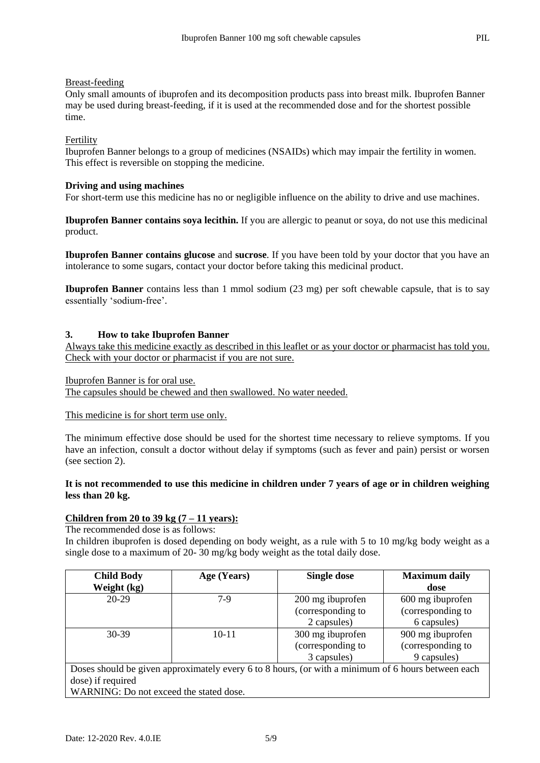#### Breast-feeding

Only small amounts of ibuprofen and its decomposition products pass into breast milk. Ibuprofen Banner may be used during breast-feeding, if it is used at the recommended dose and for the shortest possible time.

### Fertility

Ibuprofen Banner belongs to a group of medicines (NSAIDs) which may impair the fertility in women. This effect is reversible on stopping the medicine.

#### **Driving and using machines**

For short-term use this medicine has no or negligible influence on the ability to drive and use machines.

**Ibuprofen Banner contains soya lecithin.** If you are allergic to peanut or soya, do not use this medicinal product.

**Ibuprofen Banner contains glucose** and **sucrose**. If you have been told by your doctor that you have an intolerance to some sugars, contact your doctor before taking this medicinal product.

**Ibuprofen Banner** contains less than 1 mmol sodium (23 mg) per soft chewable capsule, that is to say essentially 'sodium-free'.

#### **3. How to take Ibuprofen Banner**

Always take this medicine exactly as described in this leaflet or as your doctor or pharmacist has told you. Check with your doctor or pharmacist if you are not sure.

Ibuprofen Banner is for oral use. The capsules should be chewed and then swallowed. No water needed.

#### This medicine is for short term use only.

The minimum effective dose should be used for the shortest time necessary to relieve symptoms. If you have an infection, consult a doctor without delay if symptoms (such as fever and pain) persist or worsen (see section 2).

## **It is not recommended to use this medicine in children under 7 years of age or in children weighing less than 20 kg.**

#### **Children from 20 to 39 kg (7 – 11 years):**

The recommended dose is as follows:

In children ibuprofen is dosed depending on body weight, as a rule with 5 to 10 mg/kg body weight as a single dose to a maximum of 20- 30 mg/kg body weight as the total daily dose.

| <b>Child Body</b>                                                                                  | Age (Years) | <b>Single dose</b> | <b>Maximum daily</b> |
|----------------------------------------------------------------------------------------------------|-------------|--------------------|----------------------|
| Weight (kg)                                                                                        |             |                    | dose                 |
| $20-29$                                                                                            | $7-9$       | 200 mg ibuprofen   | 600 mg ibuprofen     |
|                                                                                                    |             | (corresponding to  | (corresponding to    |
|                                                                                                    |             | 2 capsules)        | 6 capsules)          |
| $30-39$                                                                                            | $10 - 11$   | 300 mg ibuprofen   | 900 mg ibuprofen     |
|                                                                                                    |             | (corresponding to  | (corresponding to    |
|                                                                                                    |             | 3 capsules)        | 9 capsules)          |
| Doses should be given approximately every 6 to 8 hours, (or with a minimum of 6 hours between each |             |                    |                      |
| dose) if required                                                                                  |             |                    |                      |
| WARNING: Do not exceed the stated dose.                                                            |             |                    |                      |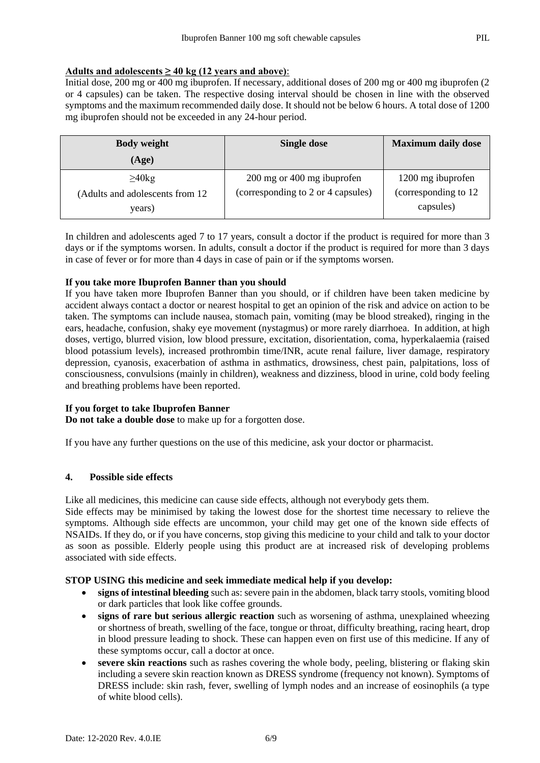## Adults and adolescents  $\geq 40$  kg (12 years and above):

Initial dose, 200 mg or 400 mg ibuprofen. If necessary, additional doses of 200 mg or 400 mg ibuprofen (2 or 4 capsules) can be taken. The respective dosing interval should be chosen in line with the observed symptoms and the maximum recommended daily dose. It should not be below 6 hours. A total dose of 1200 mg ibuprofen should not be exceeded in any 24-hour period.

| <b>Body weight</b>               | Single dose                        | <b>Maximum daily dose</b> |
|----------------------------------|------------------------------------|---------------------------|
| (Age)                            |                                    |                           |
| $\geq 40$ kg                     | 200 mg or 400 mg ibuprofen         | 1200 mg ibuprofen         |
| (Adults and adolescents from 12) | (corresponding to 2 or 4 capsules) | (corresponding to 12)     |
| years)                           |                                    | capsules)                 |

In children and adolescents aged 7 to 17 years, consult a doctor if the product is required for more than 3 days or if the symptoms worsen. In adults, consult a doctor if the product is required for more than 3 days in case of fever or for more than 4 days in case of pain or if the symptoms worsen.

## **If you take more Ibuprofen Banner than you should**

If you have taken more Ibuprofen Banner than you should, or if children have been taken medicine by accident always contact a doctor or nearest hospital to get an opinion of the risk and advice on action to be taken. The symptoms can include nausea, stomach pain, vomiting (may be blood streaked), ringing in the ears, headache, confusion, shaky eye movement (nystagmus) or more rarely diarrhoea. In addition, at high doses, vertigo, blurred vision, low blood pressure, excitation, disorientation, coma, hyperkalaemia (raised blood potassium levels), increased prothrombin time/INR, acute renal failure, liver damage, respiratory depression, cyanosis, exacerbation of asthma in asthmatics, drowsiness, chest pain, palpitations, loss of consciousness, convulsions (mainly in children), weakness and dizziness, blood in urine, cold body feeling and breathing problems have been reported.

## **If you forget to take Ibuprofen Banner**

**Do not take a double dose** to make up for a forgotten dose.

If you have any further questions on the use of this medicine, ask your doctor or pharmacist.

## **4. Possible side effects**

Like all medicines, this medicine can cause side effects, although not everybody gets them.

Side effects may be minimised by taking the lowest dose for the shortest time necessary to relieve the symptoms. Although side effects are uncommon, your child may get one of the known side effects of NSAIDs. If they do, or if you have concerns, stop giving this medicine to your child and talk to your doctor as soon as possible. Elderly people using this product are at increased risk of developing problems associated with side effects.

## **STOP USING this medicine and seek immediate medical help if you develop:**

- **signs of intestinal bleeding** such as: severe pain in the abdomen, black tarry stools, vomiting blood or dark particles that look like coffee grounds.
- **signs of rare but serious allergic reaction** such as worsening of asthma, unexplained wheezing or shortness of breath, swelling of the face, tongue or throat, difficulty breathing, racing heart, drop in blood pressure leading to shock. These can happen even on first use of this medicine. If any of these symptoms occur, call a doctor at once.
- **severe skin reactions** such as rashes covering the whole body, peeling, blistering or flaking skin including a severe skin reaction known as DRESS syndrome (frequency not known). Symptoms of DRESS include: skin rash, fever, swelling of lymph nodes and an increase of eosinophils (a type of white blood cells).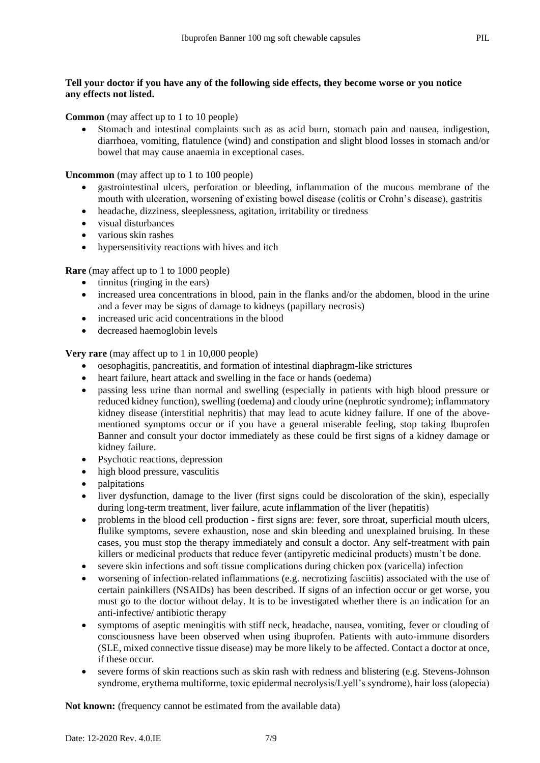## **Tell your doctor if you have any of the following side effects, they become worse or you notice any effects not listed.**

**Common** (may affect up to 1 to 10 people)

 Stomach and intestinal complaints such as as acid burn, stomach pain and nausea, indigestion, diarrhoea, vomiting, flatulence (wind) and constipation and slight blood losses in stomach and/or bowel that may cause anaemia in exceptional cases.

**Uncommon** (may affect up to 1 to 100 people)

- gastrointestinal ulcers, perforation or bleeding, inflammation of the mucous membrane of the mouth with ulceration, worsening of existing bowel disease (colitis or Crohn's disease), gastritis
- headache, dizziness, sleeplessness, agitation, irritability or tiredness
- visual disturbances
- various skin rashes
- hypersensitivity reactions with hives and itch

**Rare** (may affect up to 1 to 1000 people)

- $\bullet$  tinnitus (ringing in the ears)
- increased urea concentrations in blood, pain in the flanks and/or the abdomen, blood in the urine and a fever may be signs of damage to kidneys (papillary necrosis)
- increased uric acid concentrations in the blood
- decreased haemoglobin levels

**Very rare** (may affect up to 1 in 10,000 people)

- oesophagitis, pancreatitis, and formation of intestinal diaphragm-like strictures
- heart failure, heart attack and swelling in the face or hands (oedema)
- passing less urine than normal and swelling (especially in patients with high blood pressure or reduced kidney function), swelling (oedema) and cloudy urine (nephrotic syndrome); inflammatory kidney disease (interstitial nephritis) that may lead to acute kidney failure. If one of the abovementioned symptoms occur or if you have a general miserable feeling, stop taking Ibuprofen Banner and consult your doctor immediately as these could be first signs of a kidney damage or kidney failure.
- Psychotic reactions, depression
- high blood pressure, vasculitis
- palpitations
- liver dysfunction, damage to the liver (first signs could be discoloration of the skin), especially during long-term treatment, liver failure, acute inflammation of the liver (hepatitis)
- problems in the blood cell production first signs are: fever, sore throat, superficial mouth ulcers, flulike symptoms, severe exhaustion, nose and skin bleeding and unexplained bruising. In these cases, you must stop the therapy immediately and consult a doctor. Any self-treatment with pain killers or medicinal products that reduce fever (antipyretic medicinal products) mustn't be done.
- severe skin infections and soft tissue complications during chicken pox (varicella) infection
- worsening of infection-related inflammations (e.g. necrotizing fasciitis) associated with the use of certain painkillers (NSAIDs) has been described. If signs of an infection occur or get worse, you must go to the doctor without delay. It is to be investigated whether there is an indication for an anti-infective/ antibiotic therapy
- symptoms of aseptic meningitis with stiff neck, headache, nausea, vomiting, fever or clouding of consciousness have been observed when using ibuprofen. Patients with auto-immune disorders (SLE, mixed connective tissue disease) may be more likely to be affected. Contact a doctor at once, if these occur.
- severe forms of skin reactions such as skin rash with redness and blistering (e.g. Stevens-Johnson syndrome, erythema multiforme, toxic epidermal necrolysis/Lyell's syndrome), hair loss (alopecia)

**Not known:** (frequency cannot be estimated from the available data)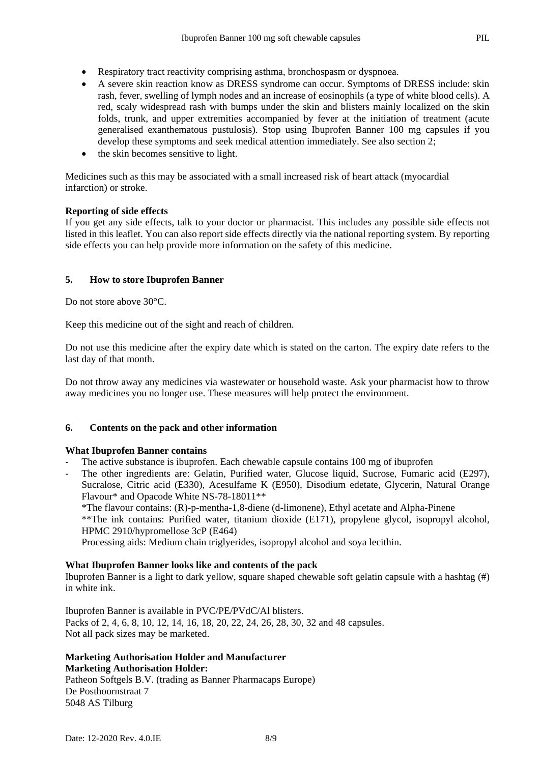- Respiratory tract reactivity comprising asthma, bronchospasm or dyspnoea.
- A severe skin reaction know as DRESS syndrome can occur. Symptoms of DRESS include: skin rash, fever, swelling of lymph nodes and an increase of eosinophils (a type of white blood cells). A red, scaly widespread rash with bumps under the skin and blisters mainly localized on the skin folds, trunk, and upper extremities accompanied by fever at the initiation of treatment (acute generalised exanthematous pustulosis). Stop using Ibuprofen Banner 100 mg capsules if you develop these symptoms and seek medical attention immediately. See also section 2;
- the skin becomes sensitive to light.

Medicines such as this may be associated with a small increased risk of heart attack (myocardial infarction) or stroke.

#### **Reporting of side effects**

If you get any side effects, talk to your doctor or pharmacist. This includes any possible side effects not listed in this leaflet. You can also report side effects directly via the national reporting system. By reporting side effects you can help provide more information on the safety of this medicine.

#### **5. How to store Ibuprofen Banner**

Do not store above 30°C.

Keep this medicine out of the sight and reach of children.

Do not use this medicine after the expiry date which is stated on the carton. The expiry date refers to the last day of that month.

Do not throw away any medicines via wastewater or household waste. Ask your pharmacist how to throw away medicines you no longer use. These measures will help protect the environment.

## **6. Contents on the pack and other information**

#### **What Ibuprofen Banner contains**

- The active substance is ibuprofen. Each chewable capsule contains 100 mg of ibuprofen
- The other ingredients are: Gelatin, Purified water, Glucose liquid, Sucrose, Fumaric acid (E297), Sucralose, Citric acid (E330), Acesulfame K (E950), Disodium edetate, Glycerin, Natural Orange Flavour\* and Opacode White NS-78-18011\*\*

\*The flavour contains: (R)-p-mentha-1,8-diene (d-limonene), Ethyl acetate and Alpha-Pinene

\*\*The ink contains: Purified water, titanium dioxide (E171), propylene glycol, isopropyl alcohol, HPMC 2910/hypromellose 3cP (E464)

Processing aids: Medium chain triglyerides, isopropyl alcohol and soya lecithin.

#### **What Ibuprofen Banner looks like and contents of the pack**

Ibuprofen Banner is a light to dark yellow, square shaped chewable soft gelatin capsule with a hashtag (#) in white ink.

Ibuprofen Banner is available in PVC/PE/PVdC/Al blisters. Packs of 2, 4, 6, 8, 10, 12, 14, 16, 18, 20, 22, 24, 26, 28, 30, 32 and 48 capsules. Not all pack sizes may be marketed.

## **Marketing Authorisation Holder and Manufacturer Marketing Authorisation Holder:**

Patheon Softgels B.V. (trading as Banner Pharmacaps Europe) De Posthoornstraat 7 5048 AS Tilburg